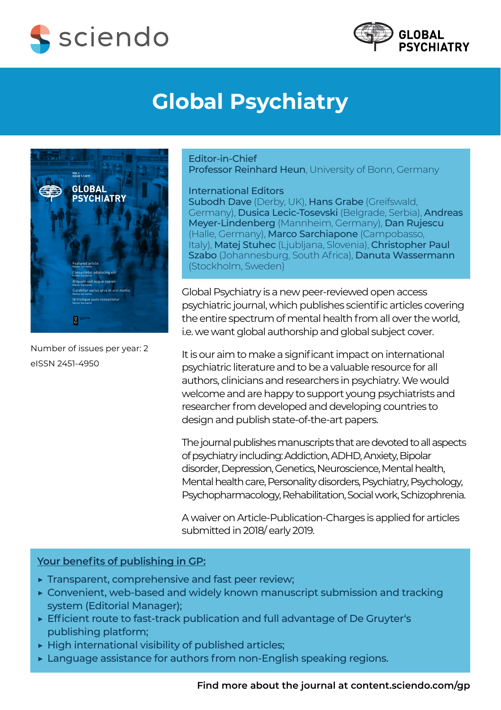



## **Global Psychiatry**



Number of issues per year: 2 eISSN 2451-4950

Editor-in-Chief

Professor Reinhard Heun, University of Bonn, Germany

International Editors

Subodh Dave (Derby, UK), Hans Grabe (Greifswald, Germany), Dusica Lecic-Tosevski (Belgrade, Serbia), Andreas Meyer-Lindenberg (Mannheim, Germany), Dan Rujescu (Halle, Germany), Marco Sarchiapone (Campobasso, Italy), Matej Stuhec (Ljubljana, Slovenia), Christopher Paul Szabo (Johannesburg, South Africa), Danuta Wassermann (Stockholm, Sweden)

Global Psychiatry is a new peer-reviewed open access psychiatric journal, which publishes scientific articles covering the entire spectrum of mental health from all over the world, i.e. we want global authorship and global subject cover.

It is our aim to make a significant impact on international psychiatric literature and to be a valuable resource for all authors, clinicians and researchers in psychiatry. We would welcome and are happy to support young psychiatrists and researcher from developed and developing countries to design and publish state-of-the-art papers.

The journal publishes manuscripts that are devoted to all aspects of psychiatry including: Addiction, ADHD, Anxiety, Bipolar disorder, Depression, Genetics, Neuroscience, Mental health, Mental health care, Personality disorders, Psychiatry, Psychology, Psychopharmacology, Rehabilitation, Social work, Schizophrenia.

A waiver on Article-Publication-Charges is applied for articles submitted in 2018/ early 2019.

## **Your benefits of publishing in GP:**

- $\triangleright$  Transparent, comprehensive and fast peer review;
- ▶ Convenient, web-based and widely known manuscript submission and tracking system (Editorial Manager);
- ▶ Efficient route to fast-track publication and full advantage of De Gruyter's publishing platform;
- $\triangleright$  High international visibility of published articles;
- $\triangleright$  Language assistance for authors from non-English speaking regions.

**[Find more about the journal at content.sciendo.com/gp](http://content.sciendo.com/gp)**